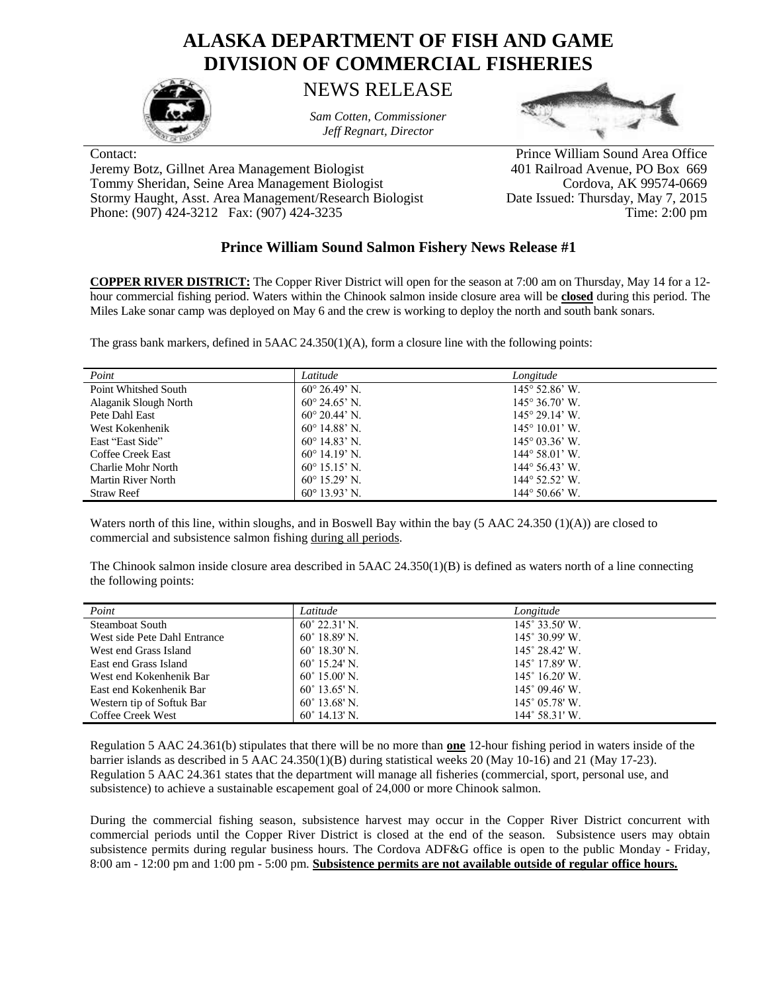## **ALASKA DEPARTMENT OF FISH AND GAME DIVISION OF COMMERCIAL FISHERIES**



NEWS RELEASE

*Sam Cotten, Commissioner Jeff Regnart, Director*



Jeremy Botz, Gillnet Area Management Biologist 401 Railroad Avenue, PO Box 669 Tommy Sheridan, Seine Area Management Biologist Cordova, AK 99574-0669<br>Stormy Haught, Asst. Area Management/Research Biologist Date Issued: Thursday, May 7, 2015 Stormy Haught, Asst. Area Management/Research Biologist Phone: (907) 424-3212 Fax: (907) 424-3235 Time: 2:00 pm

Contact: Prince William Sound Area Office

## **Prince William Sound Salmon Fishery News Release #1**

**COPPER RIVER DISTRICT:** The Copper River District will open for the season at 7:00 am on Thursday, May 14 for a 12 hour commercial fishing period. Waters within the Chinook salmon inside closure area will be **closed** during this period. The Miles Lake sonar camp was deployed on May 6 and the crew is working to deploy the north and south bank sonars.

The grass bank markers, defined in 5AAC 24.350(1)(A), form a closure line with the following points:

| Point                 | Latitude                      | Longitude                      |
|-----------------------|-------------------------------|--------------------------------|
| Point Whitshed South  | $60^{\circ} 26.49^{\circ}$ N. | $145^{\circ}$ 52.86' W.        |
| Alaganik Slough North | $60^{\circ}$ 24.65' N.        | $145^{\circ} 36.70^{\circ}$ W. |
| Pete Dahl East        | $60^{\circ}$ 20.44' N         | $145^{\circ}$ 29.14' W.        |
| West Kokenhenik       | $60^{\circ}$ 14.88' N.        | $145^{\circ} 10.01^{\circ}$ W. |
| East "East Side"      | $60^{\circ}$ 14.83' N         | $145^{\circ}$ 03.36' W.        |
| Coffee Creek East     | $60^{\circ}$ 14.19' N.        | $144^{\circ} 58.01'$ W.        |
| Charlie Mohr North    | $60^{\circ}$ 15.15' N.        | $144^{\circ}$ 56.43' W.        |
| Martin River North    | $60^{\circ}$ 15.29' N.        | $144^{\circ}$ 52.52' W.        |
| <b>Straw Reef</b>     | $60^{\circ}$ 13.93' N.        | $144^{\circ} 50.66^{\circ}$ W. |

Waters north of this line, within sloughs, and in Boswell Bay within the bay (5 AAC 24.350 (1)(A)) are closed to commercial and subsistence salmon fishing during all periods.

The Chinook salmon inside closure area described in 5AAC 24.350(1)(B) is defined as waters north of a line connecting the following points:

| Point                        | Latitude               | Longitude               |
|------------------------------|------------------------|-------------------------|
| <b>Steamboat South</b>       | $60^{\circ}$ 22.31' N. | $145^\circ 33.50'$ W.   |
| West side Pete Dahl Entrance | $60^{\circ}$ 18.89' N. | 145° 30.99' W.          |
| West end Grass Island        | $60^{\circ}$ 18.30' N. | $145^{\circ}$ 28.42' W. |
| East end Grass Island        | $60^{\circ}$ 15.24' N  | $145^{\circ}$ 17.89' W. |
| West end Kokenhenik Bar      | $60^{\circ}$ 15.00' N. | $145^{\circ}$ 16.20' W. |
| East end Kokenhenik Bar      | $60^{\circ}$ 13.65' N. | $145^{\circ}$ 09.46' W. |
| Western tip of Softuk Bar    | $60^{\circ}$ 13.68' N. | $145^{\circ}$ 05.78' W. |
| Coffee Creek West            | $60^{\circ}$ 14.13' N. | $144^{\circ}$ 58.31' W. |

Regulation 5 AAC 24.361(b) stipulates that there will be no more than **one** 12-hour fishing period in waters inside of the barrier islands as described in 5 AAC 24.350(1)(B) during statistical weeks 20 (May 10-16) and 21 (May 17-23). Regulation 5 AAC 24.361 states that the department will manage all fisheries (commercial, sport, personal use, and subsistence) to achieve a sustainable escapement goal of 24,000 or more Chinook salmon.

During the commercial fishing season, subsistence harvest may occur in the Copper River District concurrent with commercial periods until the Copper River District is closed at the end of the season. Subsistence users may obtain subsistence permits during regular business hours. The Cordova ADF&G office is open to the public Monday - Friday, 8:00 am - 12:00 pm and 1:00 pm - 5:00 pm. **Subsistence permits are not available outside of regular office hours.**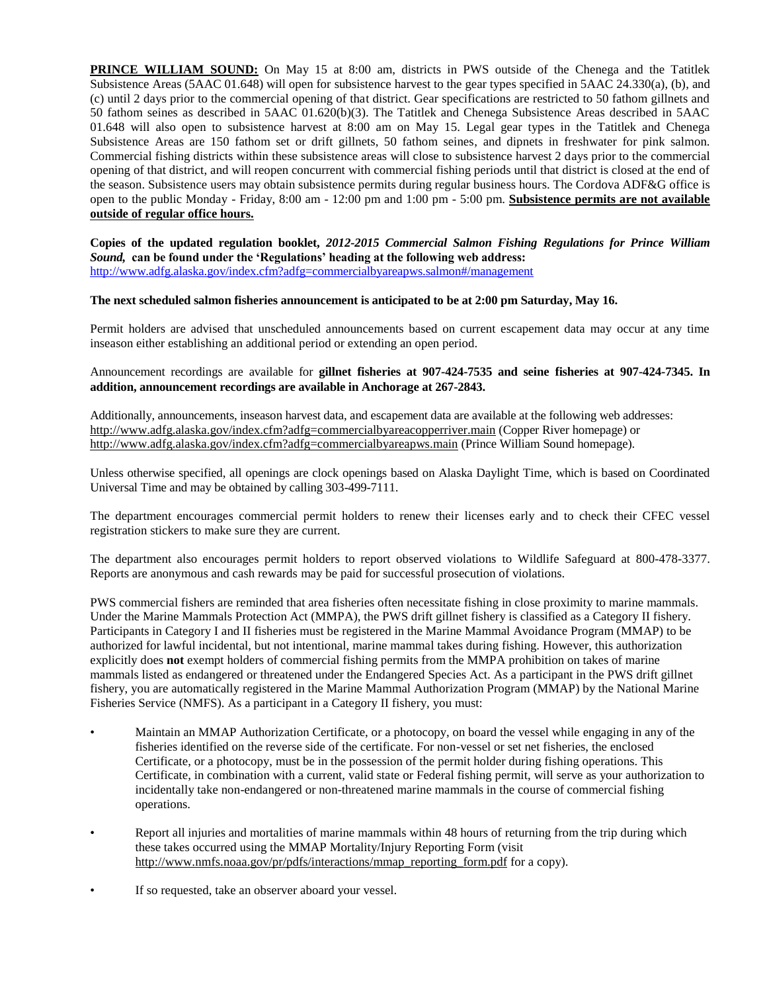**PRINCE WILLIAM SOUND:** On May 15 at 8:00 am, districts in PWS outside of the Chenega and the Tatitlek Subsistence Areas (5AAC 01.648) will open for subsistence harvest to the gear types specified in 5AAC 24.330(a), (b), and (c) until 2 days prior to the commercial opening of that district. Gear specifications are restricted to 50 fathom gillnets and 50 fathom seines as described in 5AAC 01.620(b)(3). The Tatitlek and Chenega Subsistence Areas described in 5AAC 01.648 will also open to subsistence harvest at 8:00 am on May 15. Legal gear types in the Tatitlek and Chenega Subsistence Areas are 150 fathom set or drift gillnets, 50 fathom seines, and dipnets in freshwater for pink salmon. Commercial fishing districts within these subsistence areas will close to subsistence harvest 2 days prior to the commercial opening of that district, and will reopen concurrent with commercial fishing periods until that district is closed at the end of the season. Subsistence users may obtain subsistence permits during regular business hours. The Cordova ADF&G office is open to the public Monday - Friday, 8:00 am - 12:00 pm and 1:00 pm - 5:00 pm. **Subsistence permits are not available outside of regular office hours.**

**Copies of the updated regulation booklet,** *2012-2015 Commercial Salmon Fishing Regulations for Prince William Sound,* **can be found under the 'Regulations' heading at the following web address:** <http://www.adfg.alaska.gov/index.cfm?adfg=commercialbyareapws.salmon#/management>

## **The next scheduled salmon fisheries announcement is anticipated to be at 2:00 pm Saturday, May 16.**

Permit holders are advised that unscheduled announcements based on current escapement data may occur at any time inseason either establishing an additional period or extending an open period.

Announcement recordings are available for **gillnet fisheries at 907-424-7535 and seine fisheries at 907-424-7345. In addition, announcement recordings are available in Anchorage at 267-2843.**

Additionally, announcements, inseason harvest data, and escapement data are available at the following web addresses: <http://www.adfg.alaska.gov/index.cfm?adfg=commercialbyareacopperriver.main> (Copper River homepage) or <http://www.adfg.alaska.gov/index.cfm?adfg=commercialbyareapws.main> (Prince William Sound homepage).

Unless otherwise specified, all openings are clock openings based on Alaska Daylight Time, which is based on Coordinated Universal Time and may be obtained by calling 303-499-7111.

The department encourages commercial permit holders to renew their licenses early and to check their CFEC vessel registration stickers to make sure they are current.

The department also encourages permit holders to report observed violations to Wildlife Safeguard at 800-478-3377. Reports are anonymous and cash rewards may be paid for successful prosecution of violations.

PWS commercial fishers are reminded that area fisheries often necessitate fishing in close proximity to marine mammals. Under the Marine Mammals Protection Act (MMPA), the PWS drift gillnet fishery is classified as a Category II fishery. Participants in Category I and II fisheries must be registered in the Marine Mammal Avoidance Program (MMAP) to be authorized for lawful incidental, but not intentional, marine mammal takes during fishing. However, this authorization explicitly does **not** exempt holders of commercial fishing permits from the MMPA prohibition on takes of marine mammals listed as endangered or threatened under the Endangered Species Act. As a participant in the PWS drift gillnet fishery, you are automatically registered in the Marine Mammal Authorization Program (MMAP) by the National Marine Fisheries Service (NMFS). As a participant in a Category II fishery, you must:

- Maintain an MMAP Authorization Certificate, or a photocopy, on board the vessel while engaging in any of the fisheries identified on the reverse side of the certificate. For non-vessel or set net fisheries, the enclosed Certificate, or a photocopy, must be in the possession of the permit holder during fishing operations. This Certificate, in combination with a current, valid state or Federal fishing permit, will serve as your authorization to incidentally take non-endangered or non-threatened marine mammals in the course of commercial fishing operations.
- Report all injuries and mortalities of marine mammals within 48 hours of returning from the trip during which these takes occurred using the MMAP Mortality/Injury Reporting Form (visit [http://www.nmfs.noaa.gov/pr/pdfs/interactions/mmap\\_reporting\\_form.pdf](http://www.nmfs.noaa.gov/pr/pdfs/interactions/mmap_reporting_form.pdf) for a copy).
- If so requested, take an observer aboard your vessel.